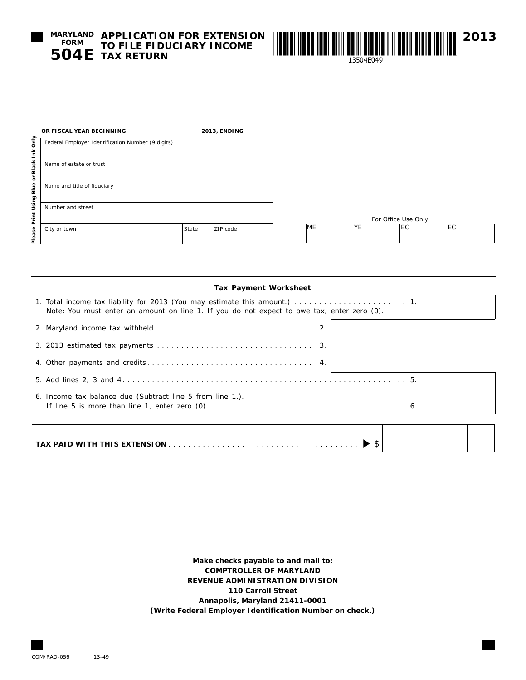**MARYLAND APPLICATION FOR EXTENSION TO FILE FIDUCIARY INCOME TAX RETURN 504E FORM**



| <b>Tax Payment Worksheet</b> |  |
|------------------------------|--|
|------------------------------|--|

| Note: You must enter an amount on line 1. If you do not expect to owe tax, enter zero (0). |  |
|--------------------------------------------------------------------------------------------|--|
|                                                                                            |  |
|                                                                                            |  |
|                                                                                            |  |
|                                                                                            |  |
| 6. Income tax balance due (Subtract line 5 from line 1.).                                  |  |
|                                                                                            |  |

**Make checks payable to and mail to: COMPTROLLER OF MARYLAND REVENUE ADMINISTRATION DIVISION 110 Carroll Street Annapolis, Maryland 21411-0001 (Write Federal Employer Identification Number on check.)**

COM/RAD-056 13-49